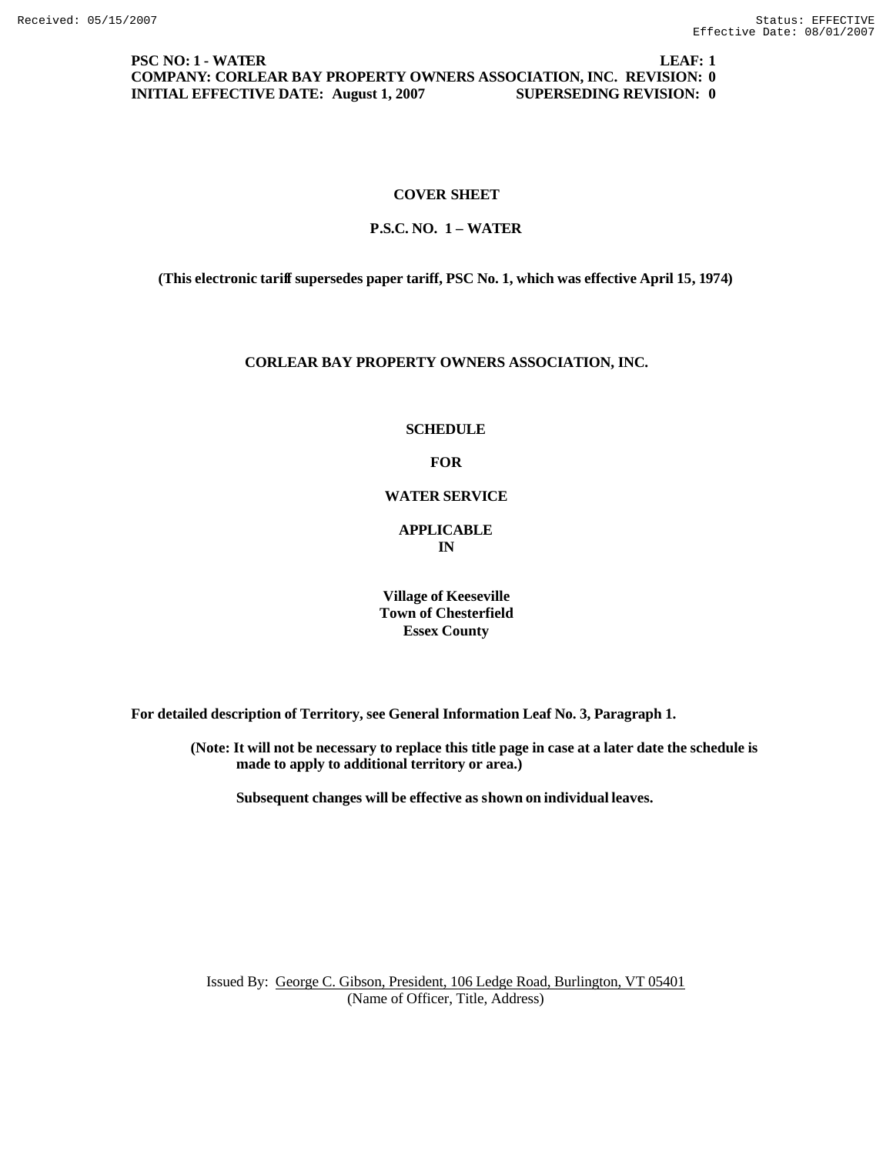**PSC NO: 1 - WATER LEAF: 1 COMPANY: CORLEAR BAY PROPERTY OWNERS ASSOCIATION, INC. REVISION: 0 INITIAL EFFECTIVE DATE: August 1, 2007 SUPERSEDING REVISION: 0**

## **COVER SHEET**

## **P.S.C. NO. 1 – WATER**

**(This electronic tariff supersedes paper tariff, PSC No. 1, which was effective April 15, 1974)**

#### **CORLEAR BAY PROPERTY OWNERS ASSOCIATION, INC.**

**SCHEDULE**

**FOR**

**WATER SERVICE**

**APPLICABLE IN**

**Village of Keeseville Town of Chesterfield Essex County**

**For detailed description of Territory, see General Information Leaf No. 3, Paragraph 1.**

**(Note: It will not be necessary to replace this title page in case at a later date the schedule is made to apply to additional territory or area.)**

**Subsequent changes will be effective as shown on individual leaves.**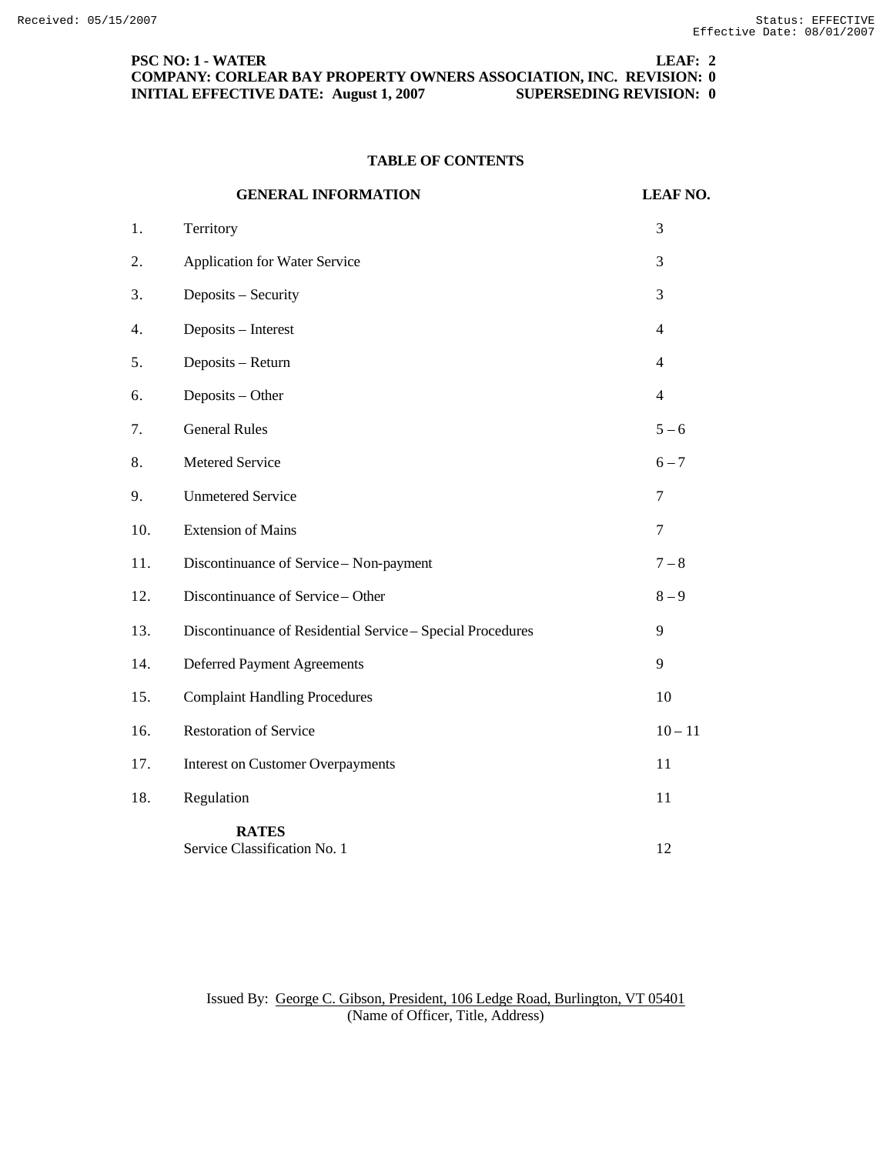**PSC NO: 1 - WATER LEAF: 2 COMPANY: CORLEAR BAY PROPERTY OWNERS ASSOCIATION, INC. REVISION: 0 INITIAL EFFECTIVE DATE: August 1, 2007 SUPERSEDING REVISION: 0**

## **TABLE OF CONTENTS**

|     | <b>GENERAL INFORMATION</b>                                 | <b>LEAF NO.</b> |
|-----|------------------------------------------------------------|-----------------|
| 1.  | Territory                                                  | 3               |
| 2.  | Application for Water Service                              | 3               |
| 3.  | Deposits - Security                                        | 3               |
| 4.  | Deposits - Interest                                        | $\overline{4}$  |
| 5.  | Deposits - Return                                          | $\overline{4}$  |
| 6.  | Deposits - Other                                           | $\overline{4}$  |
| 7.  | <b>General Rules</b>                                       | $5 - 6$         |
| 8.  | Metered Service                                            | $6 - 7$         |
| 9.  | <b>Unmetered Service</b>                                   | 7               |
| 10. | <b>Extension of Mains</b>                                  | 7               |
| 11. | Discontinuance of Service - Non-payment                    | $7 - 8$         |
| 12. | Discontinuance of Service - Other                          | $8-9$           |
| 13. | Discontinuance of Residential Service - Special Procedures | 9               |
| 14. | <b>Deferred Payment Agreements</b>                         | 9               |
| 15. | <b>Complaint Handling Procedures</b>                       | 10              |
| 16. | <b>Restoration of Service</b>                              | $10 - 11$       |
| 17. | <b>Interest on Customer Overpayments</b>                   | 11              |
| 18. | Regulation                                                 | 11              |
|     | <b>RATES</b><br>Service Classification No. 1               | 12              |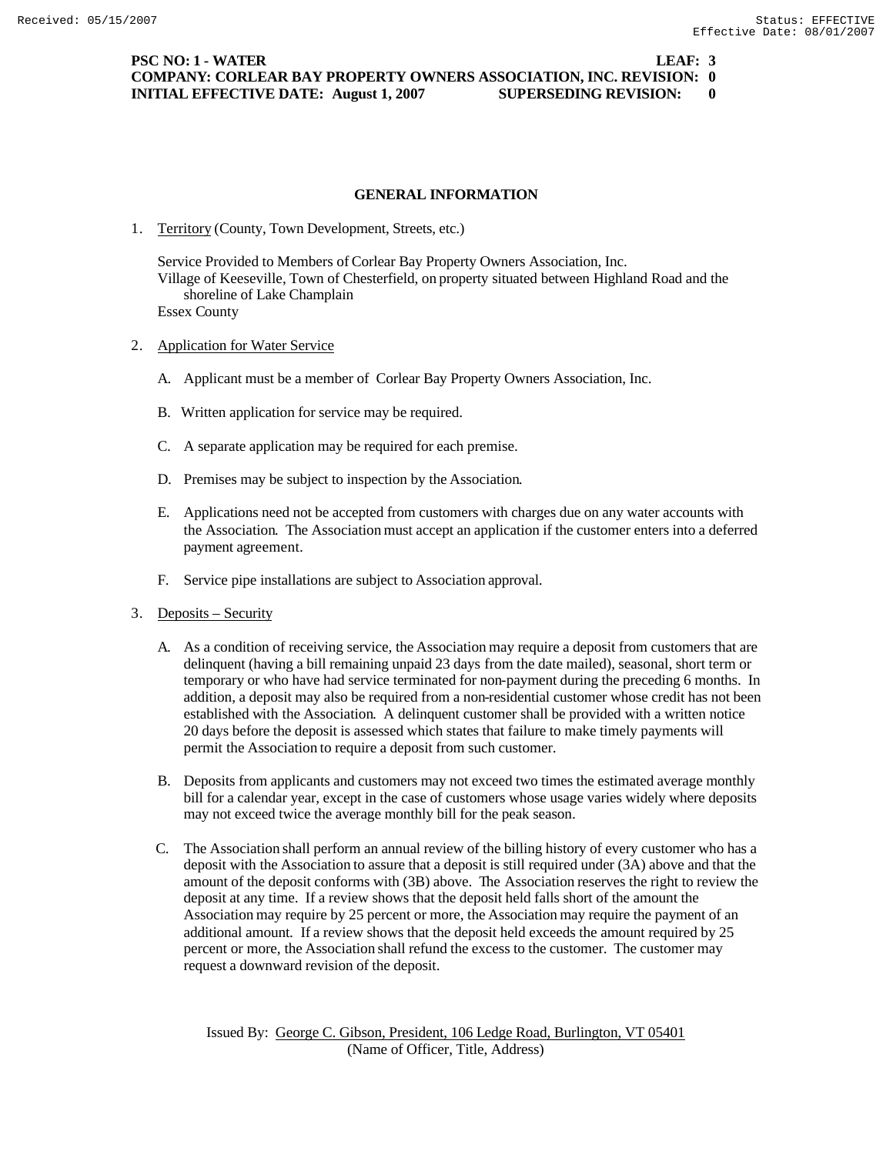**PSC NO: 1 - WATER LEAF: 3 COMPANY: CORLEAR BAY PROPERTY OWNERS ASSOCIATION, INC. REVISION: 0 INITIAL EFFECTIVE DATE: August 1, 2007 SUPERSEDING REVISION: 0**

### **GENERAL INFORMATION**

1. Territory (County, Town Development, Streets, etc.)

Service Provided to Members of Corlear Bay Property Owners Association, Inc. Village of Keeseville, Town of Chesterfield, on property situated between Highland Road and the shoreline of Lake Champlain Essex County

- 2. Application for Water Service
	- A. Applicant must be a member of Corlear Bay Property Owners Association, Inc.
	- B. Written application for service may be required.
	- C. A separate application may be required for each premise.
	- D. Premises may be subject to inspection by the Association.
	- E. Applications need not be accepted from customers with charges due on any water accounts with the Association. The Association must accept an application if the customer enters into a deferred payment agreement.
	- F. Service pipe installations are subject to Association approval.
- 3. Deposits Security
	- A. As a condition of receiving service, the Association may require a deposit from customers that are delinquent (having a bill remaining unpaid 23 days from the date mailed), seasonal, short term or temporary or who have had service terminated for non-payment during the preceding 6 months. In addition, a deposit may also be required from a non-residential customer whose credit has not been established with the Association. A delinquent customer shall be provided with a written notice 20 days before the deposit is assessed which states that failure to make timely payments will permit the Association to require a deposit from such customer.
	- B. Deposits from applicants and customers may not exceed two times the estimated average monthly bill for a calendar year, except in the case of customers whose usage varies widely where deposits may not exceed twice the average monthly bill for the peak season.
	- C. The Association shall perform an annual review of the billing history of every customer who has a deposit with the Association to assure that a deposit is still required under (3A) above and that the amount of the deposit conforms with (3B) above. The Association reserves the right to review the deposit at any time. If a review shows that the deposit held falls short of the amount the Association may require by 25 percent or more, the Association may require the payment of an additional amount. If a review shows that the deposit held exceeds the amount required by 25 percent or more, the Association shall refund the excess to the customer. The customer may request a downward revision of the deposit.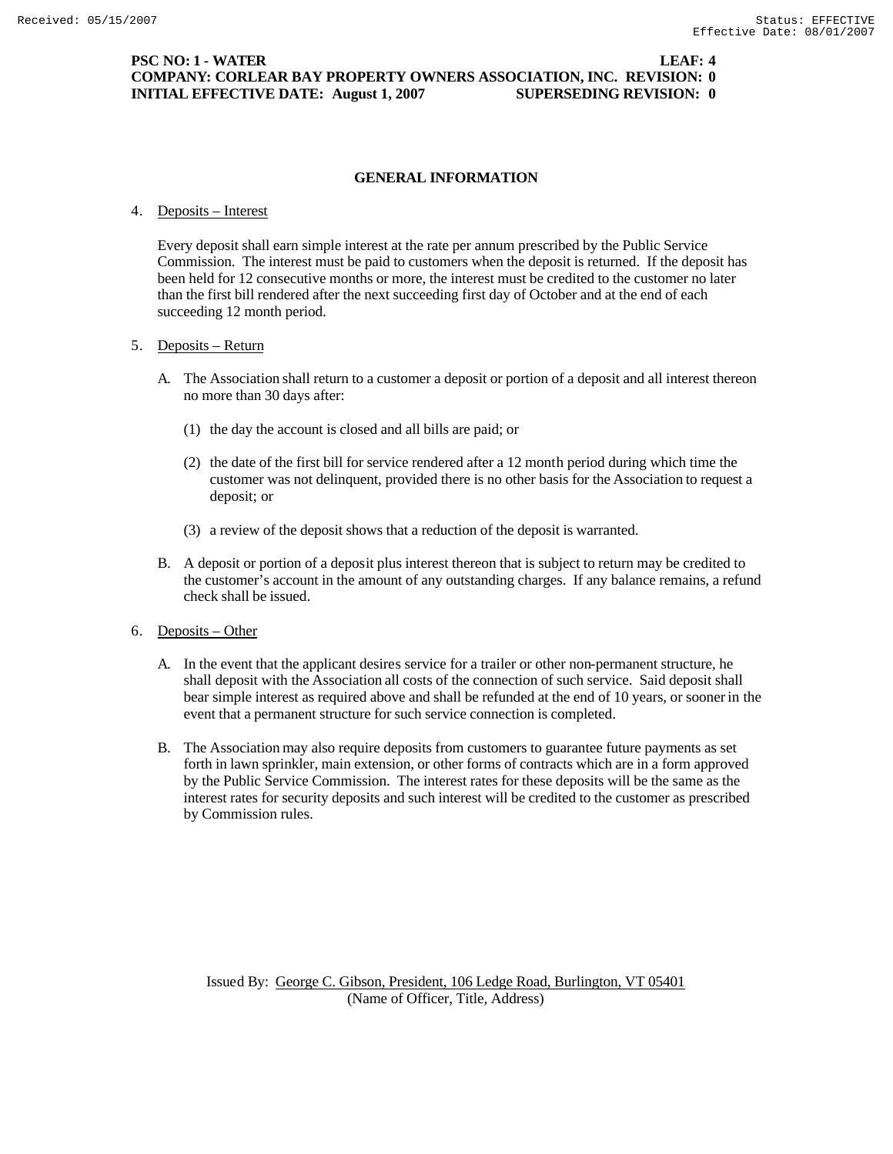## **PSC NO: 1 - WATER LEAF: 4 COMPANY: CORLEAR BAY PROPERTY OWNERS ASSOCIATION, INC. REVISION: 0 INITIAL EFFECTIVE DATE: August 1, 2007 SUPERSEDING REVISION: 0**

### **GENERAL INFORMATION**

### 4. Deposits – Interest

Every deposit shall earn simple interest at the rate per annum prescribed by the Public Service Commission. The interest must be paid to customers when the deposit is returned. If the deposit has been held for 12 consecutive months or more, the interest must be credited to the customer no later than the first bill rendered after the next succeeding first day of October and at the end of each succeeding 12 month period.

#### 5. Deposits – Return

- A. The Association shall return to a customer a deposit or portion of a deposit and all interest thereon no more than 30 days after:
	- (1) the day the account is closed and all bills are paid; or
	- (2) the date of the first bill for service rendered after a 12 month period during which time the customer was not delinquent, provided there is no other basis for the Association to request a deposit; or
	- (3) a review of the deposit shows that a reduction of the deposit is warranted.
- B. A deposit or portion of a deposit plus interest thereon that is subject to return may be credited to the customer's account in the amount of any outstanding charges. If any balance remains, a refund check shall be issued.
- 6. Deposits Other
	- A. In the event that the applicant desires service for a trailer or other non-permanent structure, he shall deposit with the Association all costs of the connection of such service. Said deposit shall bear simple interest as required above and shall be refunded at the end of 10 years, or sooner in the event that a permanent structure for such service connection is completed.
	- B. The Association may also require deposits from customers to guarantee future payments as set forth in lawn sprinkler, main extension, or other forms of contracts which are in a form approved by the Public Service Commission. The interest rates for these deposits will be the same as the interest rates for security deposits and such interest will be credited to the customer as prescribed by Commission rules.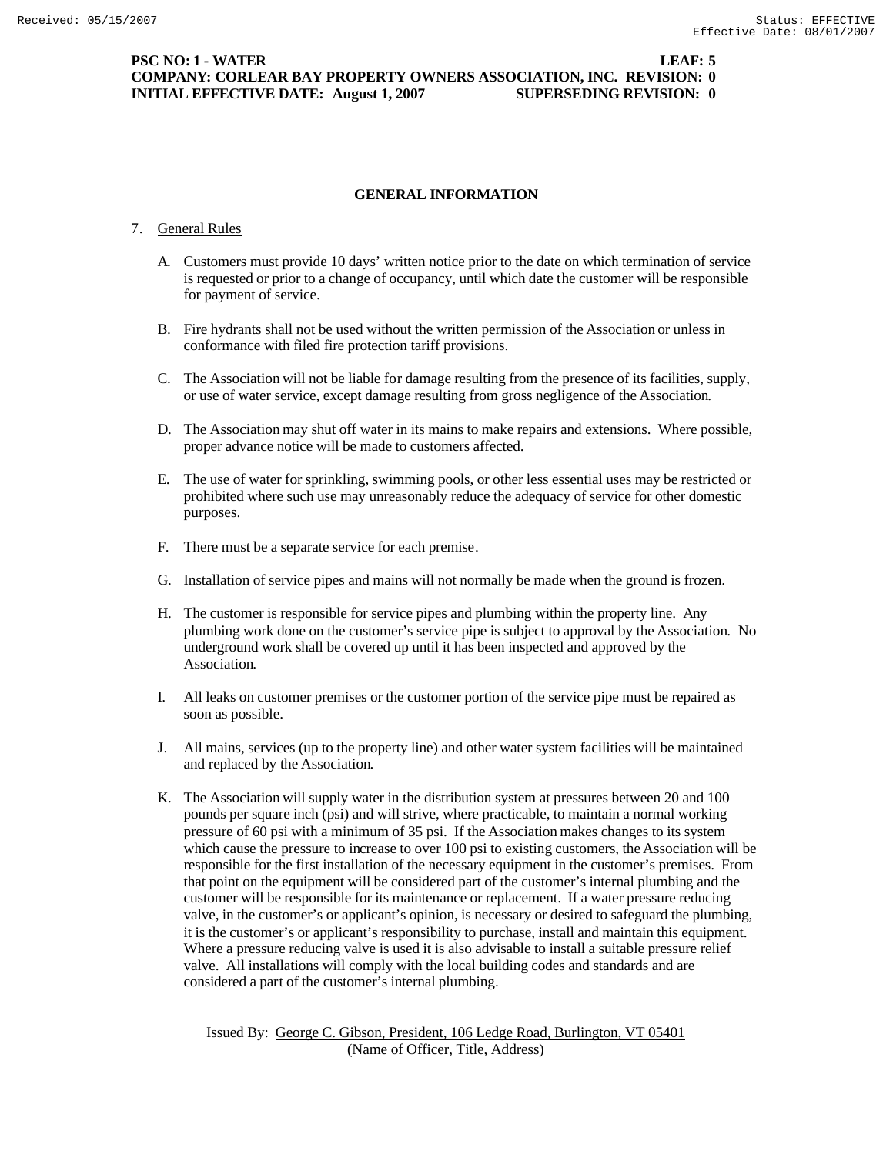## **PSC NO: 1 - WATER LEAF: 5 COMPANY: CORLEAR BAY PROPERTY OWNERS ASSOCIATION, INC. REVISION: 0 INITIAL EFFECTIVE DATE: August 1, 2007 SUPERSEDING REVISION: 0**

## **GENERAL INFORMATION**

### 7. General Rules

- A. Customers must provide 10 days' written notice prior to the date on which termination of service is requested or prior to a change of occupancy, until which date the customer will be responsible for payment of service.
- B. Fire hydrants shall not be used without the written permission of the Association or unless in conformance with filed fire protection tariff provisions.
- C. The Association will not be liable for damage resulting from the presence of its facilities, supply, or use of water service, except damage resulting from gross negligence of the Association.
- D. The Association may shut off water in its mains to make repairs and extensions. Where possible, proper advance notice will be made to customers affected.
- E. The use of water for sprinkling, swimming pools, or other less essential uses may be restricted or prohibited where such use may unreasonably reduce the adequacy of service for other domestic purposes.
- F. There must be a separate service for each premise.
- G. Installation of service pipes and mains will not normally be made when the ground is frozen.
- H. The customer is responsible for service pipes and plumbing within the property line. Any plumbing work done on the customer's service pipe is subject to approval by the Association. No underground work shall be covered up until it has been inspected and approved by the Association.
- I. All leaks on customer premises or the customer portion of the service pipe must be repaired as soon as possible.
- J. All mains, services (up to the property line) and other water system facilities will be maintained and replaced by the Association.
- K. The Association will supply water in the distribution system at pressures between 20 and 100 pounds per square inch (psi) and will strive, where practicable, to maintain a normal working pressure of 60 psi with a minimum of 35 psi. If the Association makes changes to its system which cause the pressure to increase to over 100 psi to existing customers, the Association will be responsible for the first installation of the necessary equipment in the customer's premises. From that point on the equipment will be considered part of the customer's internal plumbing and the customer will be responsible for its maintenance or replacement. If a water pressure reducing valve, in the customer's or applicant's opinion, is necessary or desired to safeguard the plumbing, it is the customer's or applicant's responsibility to purchase, install and maintain this equipment. Where a pressure reducing valve is used it is also advisable to install a suitable pressure relief valve. All installations will comply with the local building codes and standards and are considered a part of the customer's internal plumbing.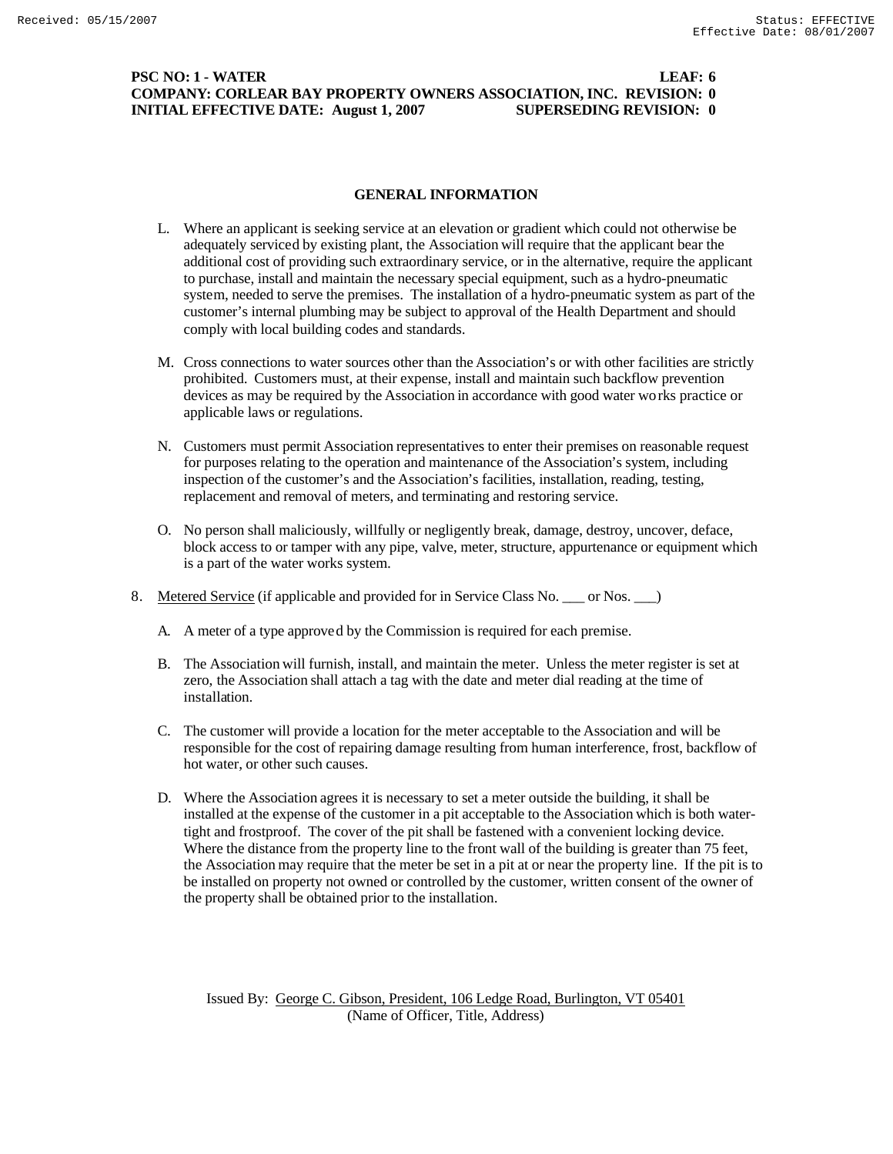### **PSC NO: 1 - WATER LEAF: 6 COMPANY: CORLEAR BAY PROPERTY OWNERS ASSOCIATION, INC. REVISION: 0 INITIAL EFFECTIVE DATE: August 1, 2007 SUPERSEDING REVISION: 0**

### **GENERAL INFORMATION**

- L. Where an applicant is seeking service at an elevation or gradient which could not otherwise be adequately serviced by existing plant, the Association will require that the applicant bear the additional cost of providing such extraordinary service, or in the alternative, require the applicant to purchase, install and maintain the necessary special equipment, such as a hydro-pneumatic system, needed to serve the premises. The installation of a hydro-pneumatic system as part of the customer's internal plumbing may be subject to approval of the Health Department and should comply with local building codes and standards.
- M. Cross connections to water sources other than the Association's or with other facilities are strictly prohibited. Customers must, at their expense, install and maintain such backflow prevention devices as may be required by the Association in accordance with good water works practice or applicable laws or regulations.
- N. Customers must permit Association representatives to enter their premises on reasonable request for purposes relating to the operation and maintenance of the Association's system, including inspection of the customer's and the Association's facilities, installation, reading, testing, replacement and removal of meters, and terminating and restoring service.
- O. No person shall maliciously, willfully or negligently break, damage, destroy, uncover, deface, block access to or tamper with any pipe, valve, meter, structure, appurtenance or equipment which is a part of the water works system.
- 8. Metered Service (if applicable and provided for in Service Class No. \_\_\_ or Nos. \_\_\_ )
	- A. A meter of a type approved by the Commission is required for each premise.
	- B. The Association will furnish, install, and maintain the meter. Unless the meter register is set at zero, the Association shall attach a tag with the date and meter dial reading at the time of installation.
	- C. The customer will provide a location for the meter acceptable to the Association and will be responsible for the cost of repairing damage resulting from human interference, frost, backflow of hot water, or other such causes.
	- D. Where the Association agrees it is necessary to set a meter outside the building, it shall be installed at the expense of the customer in a pit acceptable to the Association which is both watertight and frostproof. The cover of the pit shall be fastened with a convenient locking device. Where the distance from the property line to the front wall of the building is greater than 75 feet, the Association may require that the meter be set in a pit at or near the property line. If the pit is to be installed on property not owned or controlled by the customer, written consent of the owner of the property shall be obtained prior to the installation.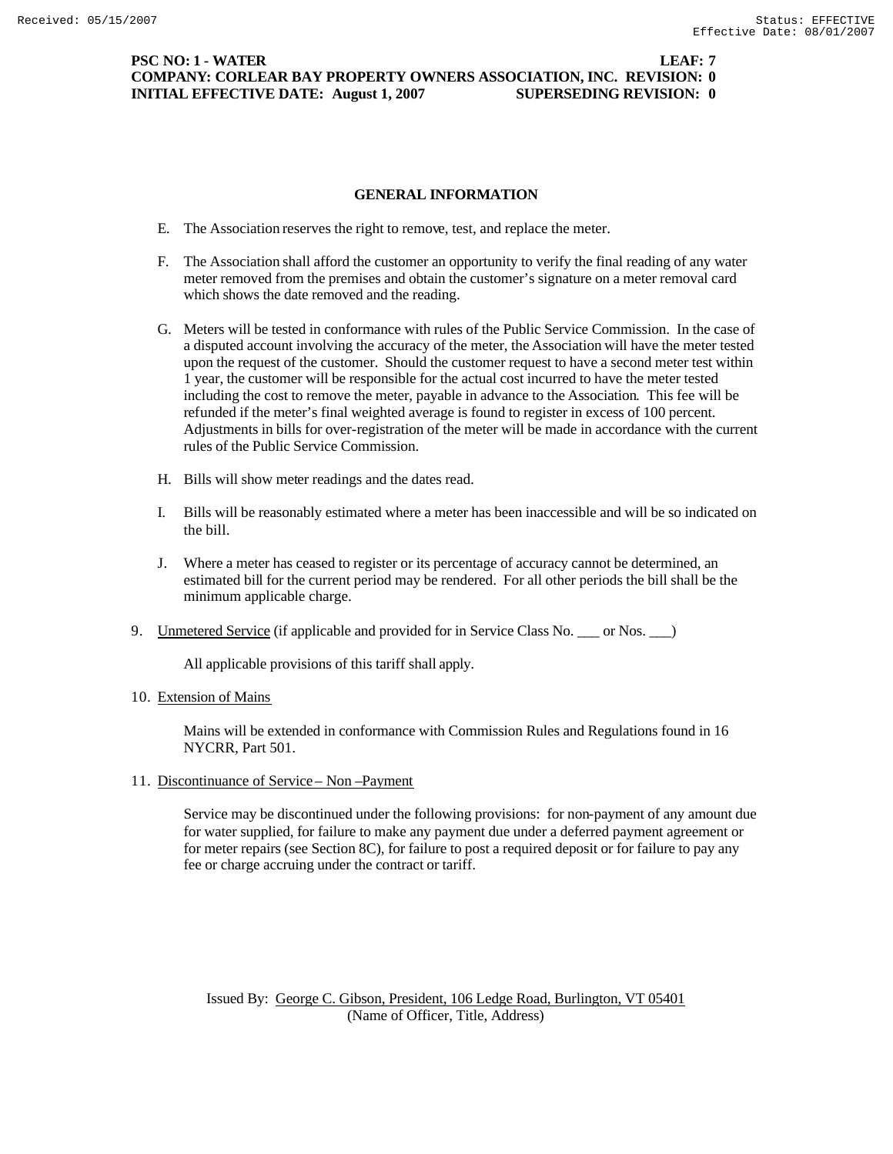## **PSC NO: 1 - WATER LEAF: 7 COMPANY: CORLEAR BAY PROPERTY OWNERS ASSOCIATION, INC. REVISION: 0 INITIAL EFFECTIVE DATE: August 1, 2007 SUPERSEDING REVISION: 0**

## **GENERAL INFORMATION**

- E. The Association reserves the right to remove, test, and replace the meter.
- F. The Association shall afford the customer an opportunity to verify the final reading of any water meter removed from the premises and obtain the customer's signature on a meter removal card which shows the date removed and the reading.
- G. Meters will be tested in conformance with rules of the Public Service Commission. In the case of a disputed account involving the accuracy of the meter, the Association will have the meter tested upon the request of the customer. Should the customer request to have a second meter test within 1 year, the customer will be responsible for the actual cost incurred to have the meter tested including the cost to remove the meter, payable in advance to the Association. This fee will be refunded if the meter's final weighted average is found to register in excess of 100 percent. Adjustments in bills for over-registration of the meter will be made in accordance with the current rules of the Public Service Commission.
- H. Bills will show meter readings and the dates read.
- I. Bills will be reasonably estimated where a meter has been inaccessible and will be so indicated on the bill.
- J. Where a meter has ceased to register or its percentage of accuracy cannot be determined, an estimated bill for the current period may be rendered. For all other periods the bill shall be the minimum applicable charge.
- 9. Unmetered Service (if applicable and provided for in Service Class No. \_\_\_ or Nos. \_\_)

All applicable provisions of this tariff shall apply.

10. Extension of Mains

Mains will be extended in conformance with Commission Rules and Regulations found in 16 NYCRR, Part 501.

11. Discontinuance of Service – Non –Payment

Service may be discontinued under the following provisions: for non-payment of any amount due for water supplied, for failure to make any payment due under a deferred payment agreement or for meter repairs (see Section 8C), for failure to post a required deposit or for failure to pay any fee or charge accruing under the contract or tariff.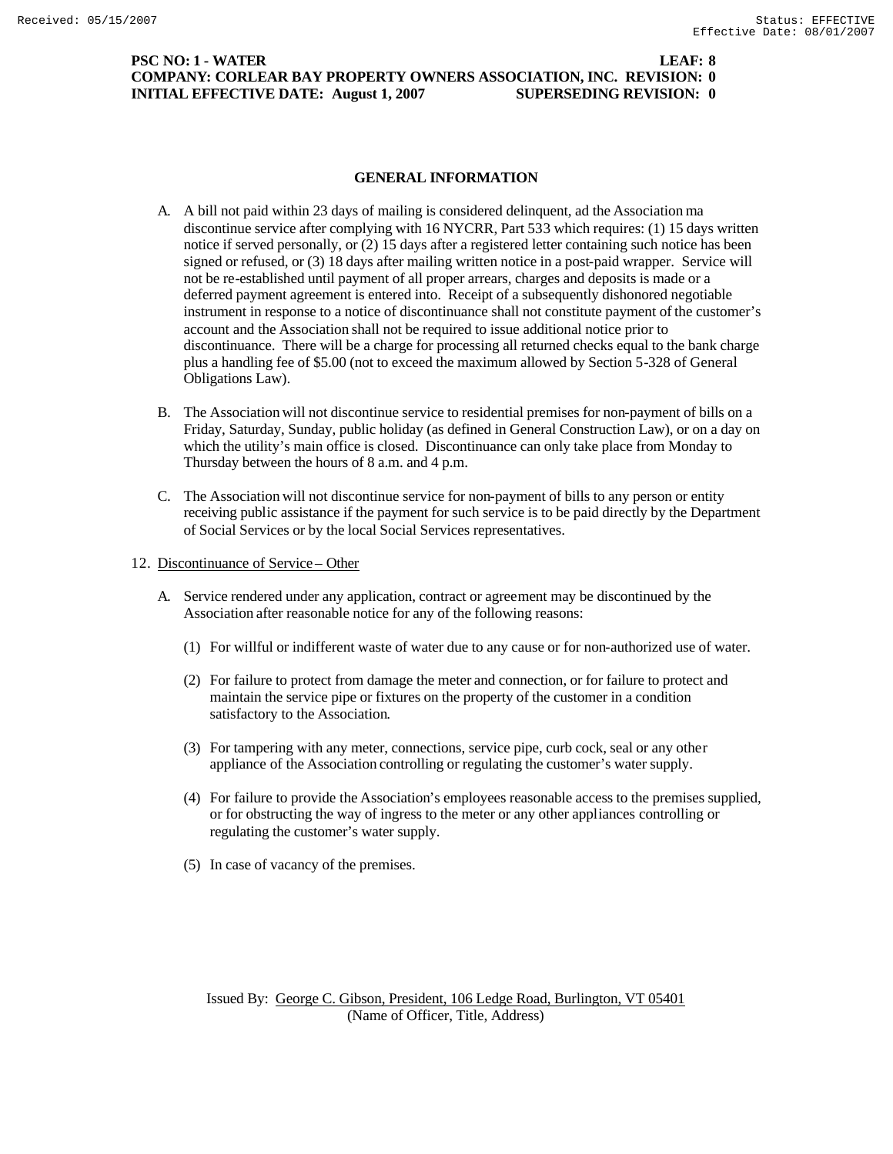## **PSC NO: 1 - WATER LEAF: 8 COMPANY: CORLEAR BAY PROPERTY OWNERS ASSOCIATION, INC. REVISION: 0 INITIAL EFFECTIVE DATE: August 1, 2007 SUPERSEDING REVISION: 0**

## **GENERAL INFORMATION**

- A. A bill not paid within 23 days of mailing is considered delinquent, ad the Association ma discontinue service after complying with 16 NYCRR, Part 533 which requires: (1) 15 days written notice if served personally, or (2) 15 days after a registered letter containing such notice has been signed or refused, or (3) 18 days after mailing written notice in a post-paid wrapper. Service will not be re-established until payment of all proper arrears, charges and deposits is made or a deferred payment agreement is entered into. Receipt of a subsequently dishonored negotiable instrument in response to a notice of discontinuance shall not constitute payment of the customer's account and the Association shall not be required to issue additional notice prior to discontinuance. There will be a charge for processing all returned checks equal to the bank charge plus a handling fee of \$5.00 (not to exceed the maximum allowed by Section 5-328 of General Obligations Law).
- B. The Association will not discontinue service to residential premises for non-payment of bills on a Friday, Saturday, Sunday, public holiday (as defined in General Construction Law), or on a day on which the utility's main office is closed. Discontinuance can only take place from Monday to Thursday between the hours of 8 a.m. and 4 p.m.
- C. The Association will not discontinue service for non-payment of bills to any person or entity receiving public assistance if the payment for such service is to be paid directly by the Department of Social Services or by the local Social Services representatives.
- 12. Discontinuance of Service Other
	- A. Service rendered under any application, contract or agreement may be discontinued by the Association after reasonable notice for any of the following reasons:
		- (1) For willful or indifferent waste of water due to any cause or for non-authorized use of water.
		- (2) For failure to protect from damage the meter and connection, or for failure to protect and maintain the service pipe or fixtures on the property of the customer in a condition satisfactory to the Association.
		- (3) For tampering with any meter, connections, service pipe, curb cock, seal or any other appliance of the Association controlling or regulating the customer's water supply.
		- (4) For failure to provide the Association's employees reasonable access to the premises supplied, or for obstructing the way of ingress to the meter or any other appliances controlling or regulating the customer's water supply.
		- (5) In case of vacancy of the premises.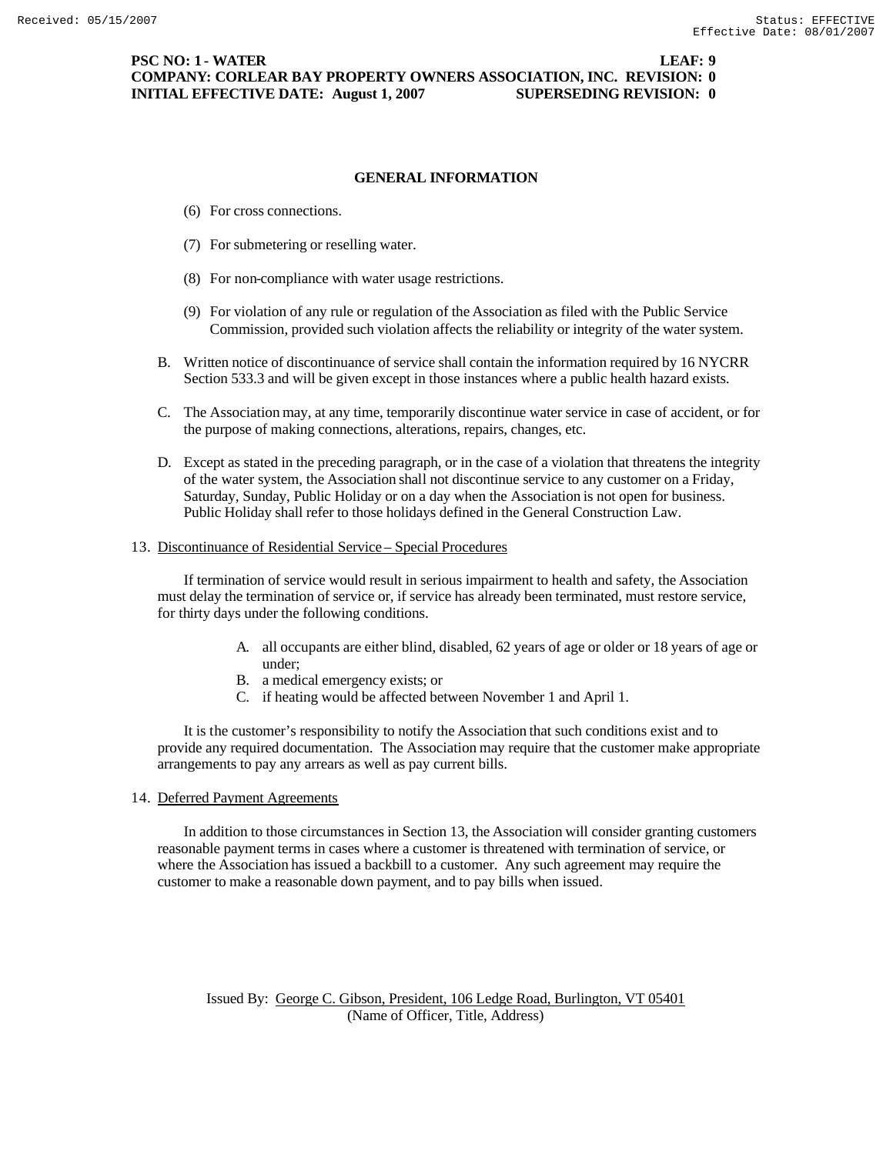### **GENERAL INFORMATION**

- (6) For cross connections.
- (7) For submetering or reselling water.
- (8) For non-compliance with water usage restrictions.
- (9) For violation of any rule or regulation of the Association as filed with the Public Service Commission, provided such violation affects the reliability or integrity of the water system.
- B. Written notice of discontinuance of service shall contain the information required by 16 NYCRR Section 533.3 and will be given except in those instances where a public health hazard exists.
- C. The Association may, at any time, temporarily discontinue water service in case of accident, or for the purpose of making connections, alterations, repairs, changes, etc.
- D. Except as stated in the preceding paragraph, or in the case of a violation that threatens the integrity of the water system, the Association shall not discontinue service to any customer on a Friday, Saturday, Sunday, Public Holiday or on a day when the Association is not open for business. Public Holiday shall refer to those holidays defined in the General Construction Law.

#### 13. Discontinuance of Residential Service – Special Procedures

If termination of service would result in serious impairment to health and safety, the Association must delay the termination of service or, if service has already been terminated, must restore service, for thirty days under the following conditions.

- A. all occupants are either blind, disabled, 62 years of age or older or 18 years of age or under;
- B. a medical emergency exists; or
- C. if heating would be affected between November 1 and April 1.

It is the customer's responsibility to notify the Association that such conditions exist and to provide any required documentation. The Association may require that the customer make appropriate arrangements to pay any arrears as well as pay current bills.

14. Deferred Payment Agreements

In addition to those circumstances in Section 13, the Association will consider granting customers reasonable payment terms in cases where a customer is threatened with termination of service, or where the Association has issued a backbill to a customer. Any such agreement may require the customer to make a reasonable down payment, and to pay bills when issued.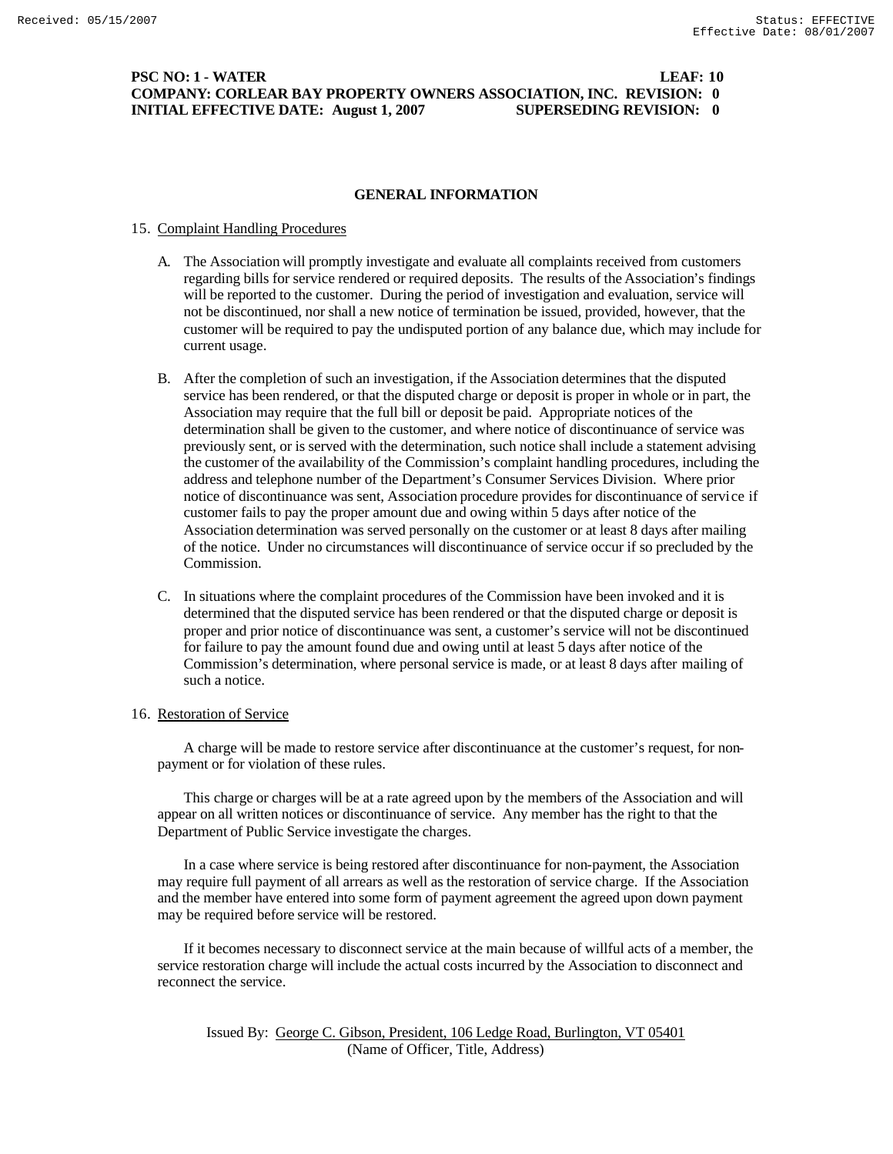### **PSC NO: 1 - WATER LEAF: 10 COMPANY: CORLEAR BAY PROPERTY OWNERS ASSOCIATION, INC. REVISION: 0 INITIAL EFFECTIVE DATE: August 1, 2007 SUPERSEDING REVISION: 0**

### **GENERAL INFORMATION**

### 15. Complaint Handling Procedures

- A. The Association will promptly investigate and evaluate all complaints received from customers regarding bills for service rendered or required deposits. The results of the Association's findings will be reported to the customer. During the period of investigation and evaluation, service will not be discontinued, nor shall a new notice of termination be issued, provided, however, that the customer will be required to pay the undisputed portion of any balance due, which may include for current usage.
- B. After the completion of such an investigation, if the Association determines that the disputed service has been rendered, or that the disputed charge or deposit is proper in whole or in part, the Association may require that the full bill or deposit be paid. Appropriate notices of the determination shall be given to the customer, and where notice of discontinuance of service was previously sent, or is served with the determination, such notice shall include a statement advising the customer of the availability of the Commission's complaint handling procedures, including the address and telephone number of the Department's Consumer Services Division. Where prior notice of discontinuance was sent, Association procedure provides for discontinuance of service if customer fails to pay the proper amount due and owing within 5 days after notice of the Association determination was served personally on the customer or at least 8 days after mailing of the notice. Under no circumstances will discontinuance of service occur if so precluded by the Commission.
- C. In situations where the complaint procedures of the Commission have been invoked and it is determined that the disputed service has been rendered or that the disputed charge or deposit is proper and prior notice of discontinuance was sent, a customer's service will not be discontinued for failure to pay the amount found due and owing until at least 5 days after notice of the Commission's determination, where personal service is made, or at least 8 days after mailing of such a notice.

#### 16. Restoration of Service

A charge will be made to restore service after discontinuance at the customer's request, for nonpayment or for violation of these rules.

This charge or charges will be at a rate agreed upon by the members of the Association and will appear on all written notices or discontinuance of service. Any member has the right to that the Department of Public Service investigate the charges.

In a case where service is being restored after discontinuance for non-payment, the Association may require full payment of all arrears as well as the restoration of service charge. If the Association and the member have entered into some form of payment agreement the agreed upon down payment may be required before service will be restored.

If it becomes necessary to disconnect service at the main because of willful acts of a member, the service restoration charge will include the actual costs incurred by the Association to disconnect and reconnect the service.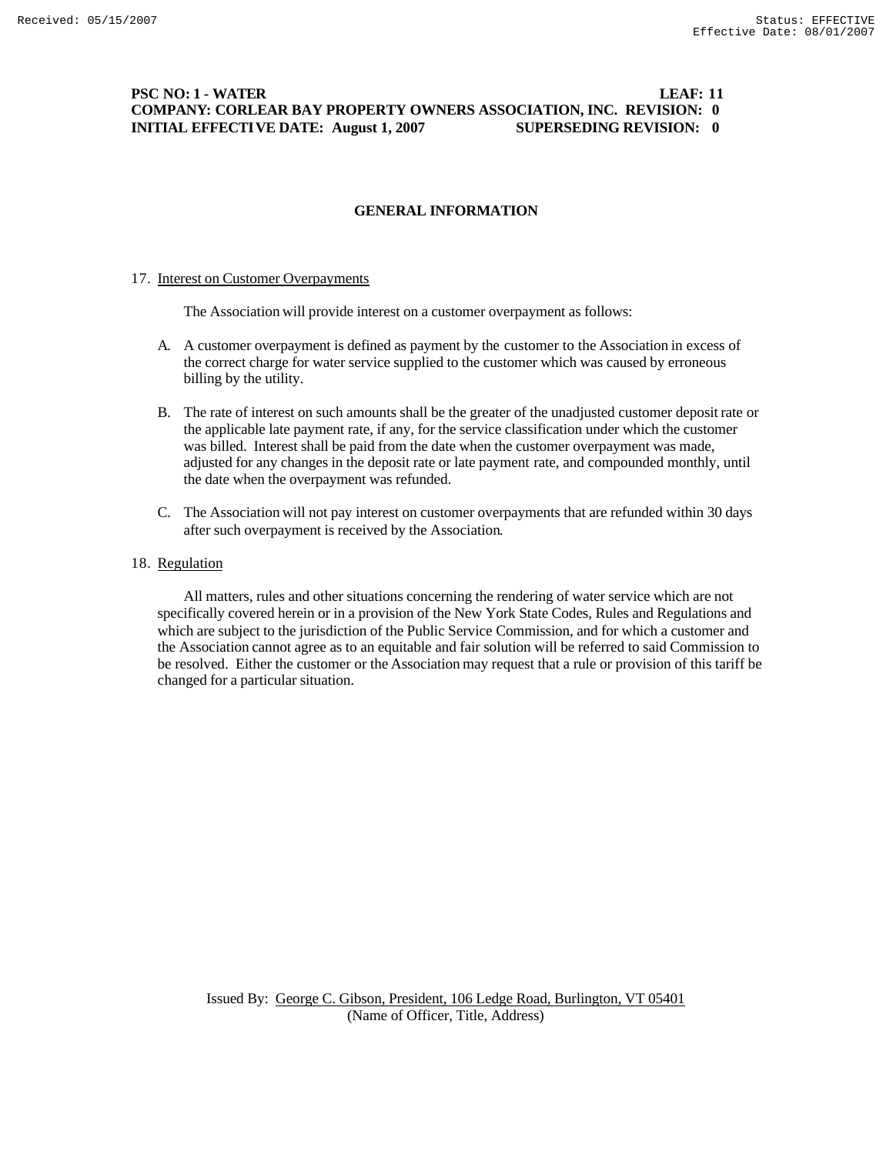# **PSC NO: 1 - WATER LEAF: 11 COMPANY: CORLEAR BAY PROPERTY OWNERS ASSOCIATION, INC. REVISION: 0 INITIAL EFFECTIVE DATE: August 1, 2007 SUPERSEDING REVISION: 0**

## **GENERAL INFORMATION**

#### 17. Interest on Customer Overpayments

The Association will provide interest on a customer overpayment as follows:

- A. A customer overpayment is defined as payment by the customer to the Association in excess of the correct charge for water service supplied to the customer which was caused by erroneous billing by the utility.
- B. The rate of interest on such amounts shall be the greater of the unadjusted customer deposit rate or the applicable late payment rate, if any, for the service classification under which the customer was billed. Interest shall be paid from the date when the customer overpayment was made, adjusted for any changes in the deposit rate or late payment rate, and compounded monthly, until the date when the overpayment was refunded.
- C. The Association will not pay interest on customer overpayments that are refunded within 30 days after such overpayment is received by the Association.

### 18. Regulation

All matters, rules and other situations concerning the rendering of water service which are not specifically covered herein or in a provision of the New York State Codes, Rules and Regulations and which are subject to the jurisdiction of the Public Service Commission, and for which a customer and the Association cannot agree as to an equitable and fair solution will be referred to said Commission to be resolved. Either the customer or the Association may request that a rule or provision of this tariff be changed for a particular situation.